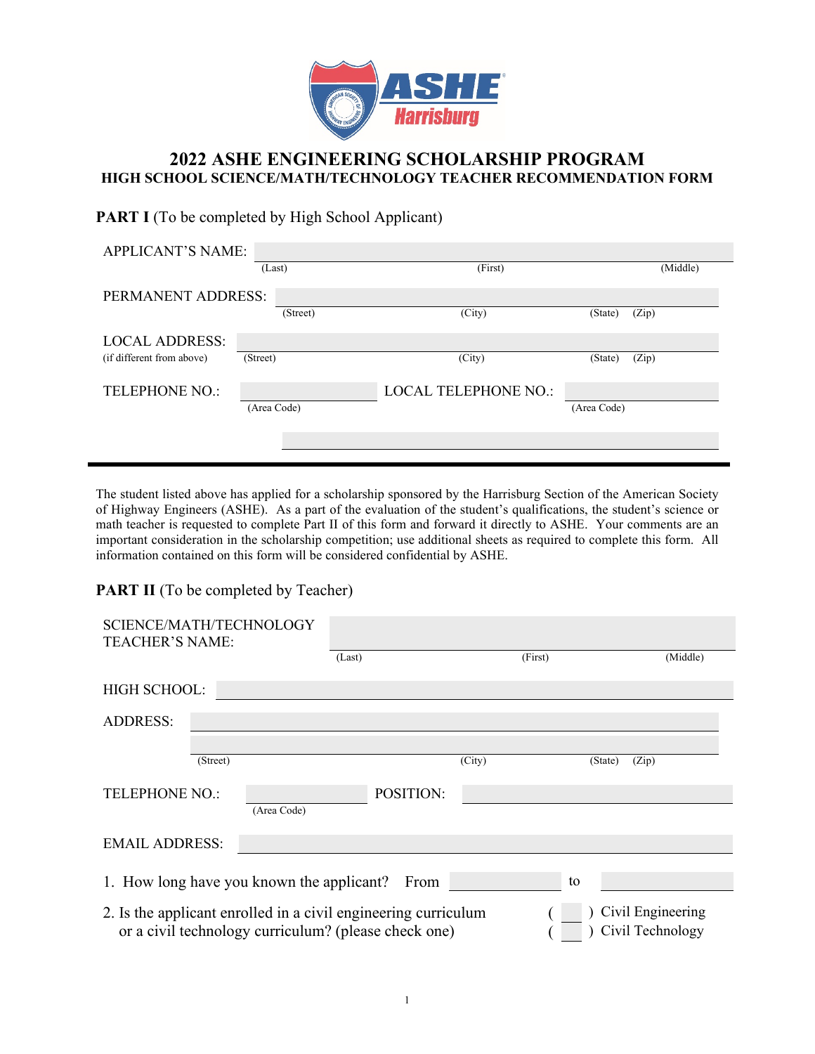

## **2022 ASHE ENGINEERING SCHOLARSHIP PROGRAM HIGH SCHOOL SCIENCE/MATH/TECHNOLOGY TEACHER RECOMMENDATION FORM**

## **PART I** (To be completed by High School Applicant)

| <b>APPLICANT'S NAME:</b>  |             |          |                             |             |          |  |  |  |
|---------------------------|-------------|----------|-----------------------------|-------------|----------|--|--|--|
|                           | (Last)      |          | (First)                     |             | (Middle) |  |  |  |
| PERMANENT ADDRESS:        |             |          |                             |             |          |  |  |  |
|                           |             | (Street) | (City)                      | (State)     | (Zip)    |  |  |  |
| <b>LOCAL ADDRESS:</b>     |             |          |                             |             |          |  |  |  |
| (if different from above) | (Street)    |          | (City)                      | (State)     | (Zip)    |  |  |  |
|                           |             |          |                             |             |          |  |  |  |
| <b>TELEPHONE NO.:</b>     |             |          | <b>LOCAL TELEPHONE NO.:</b> |             |          |  |  |  |
|                           | (Area Code) |          |                             | (Area Code) |          |  |  |  |
|                           |             |          |                             |             |          |  |  |  |
|                           |             |          |                             |             |          |  |  |  |
|                           |             |          |                             |             |          |  |  |  |

The student listed above has applied for a scholarship sponsored by the Harrisburg Section of the American Society of Highway Engineers (ASHE). As a part of the evaluation of the student's qualifications, the student's science or math teacher is requested to complete Part II of this form and forward it directly to ASHE. Your comments are an important consideration in the scholarship competition; use additional sheets as required to complete this form. All information contained on this form will be considered confidential by ASHE.

## **PART II** (To be completed by Teacher)

| SCIENCE/MATH/TECHNOLOGY<br>TEACHER'S NAME:                                                                                                                      | (Last)    | (First) | (Middle)         |  |  |  |
|-----------------------------------------------------------------------------------------------------------------------------------------------------------------|-----------|---------|------------------|--|--|--|
|                                                                                                                                                                 |           |         |                  |  |  |  |
| <b>HIGH SCHOOL:</b>                                                                                                                                             |           |         |                  |  |  |  |
| <b>ADDRESS:</b>                                                                                                                                                 |           |         |                  |  |  |  |
|                                                                                                                                                                 |           |         |                  |  |  |  |
| (Street)                                                                                                                                                        |           | (City)  | (Zip)<br>(State) |  |  |  |
| <b>TELEPHONE NO.:</b><br>(Area Code)                                                                                                                            | POSITION: |         |                  |  |  |  |
| <b>EMAIL ADDRESS:</b>                                                                                                                                           |           |         |                  |  |  |  |
| 1. How long have you known the applicant?<br>From<br>to                                                                                                         |           |         |                  |  |  |  |
| Civil Engineering<br>2. Is the applicant enrolled in a civil engineering curriculum<br>or a civil technology curriculum? (please check one)<br>Civil Technology |           |         |                  |  |  |  |